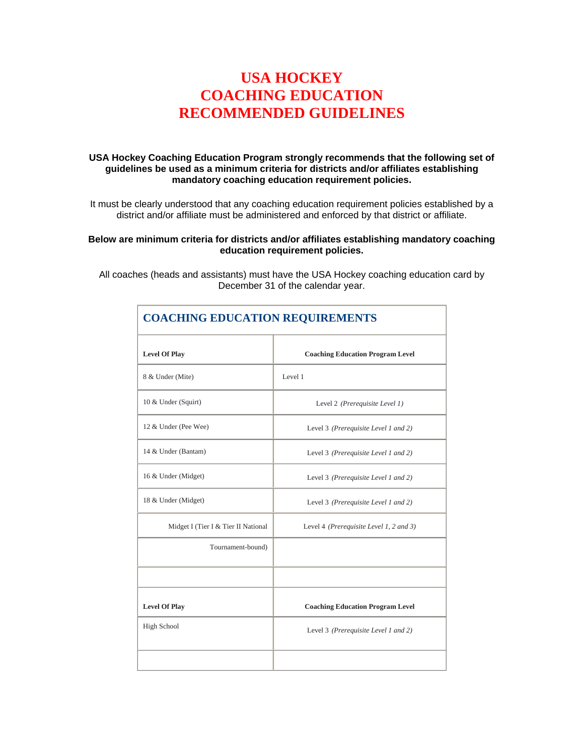## **USA HOCKEY COACHING EDUCATION RECOMMENDED GUIDELINES**

#### **USA Hockey Coaching Education Program strongly recommends that the following set of guidelines be used as a minimum criteria for districts and/or affiliates establishing mandatory coaching education requirement policies.**

It must be clearly understood that any coaching education requirement policies established by a district and/or affiliate must be administered and enforced by that district or affiliate.

#### **Below are minimum criteria for districts and/or affiliates establishing mandatory coaching education requirement policies.**

All coaches (heads and assistants) must have the USA Hockey coaching education card by December 31 of the calendar year.

| <b>COACHING EDUCATION REQUIREMENTS</b> |                                         |  |
|----------------------------------------|-----------------------------------------|--|
| <b>Level Of Play</b>                   | <b>Coaching Education Program Level</b> |  |
| 8 & Under (Mite)                       | Level 1                                 |  |
| 10 & Under (Squirt)                    | Level 2 (Prerequisite Level 1)          |  |
| 12 & Under (Pee Wee)                   | Level 3 (Prerequisite Level 1 and 2)    |  |
| 14 & Under (Bantam)                    | Level 3 (Prerequisite Level 1 and 2)    |  |
| 16 & Under (Midget)                    | Level 3 (Prerequisite Level 1 and 2)    |  |
| 18 & Under (Midget)                    | Level 3 (Prerequisite Level 1 and 2)    |  |
| Midget I (Tier I & Tier II National    | Level 4 (Prerequisite Level 1, 2 and 3) |  |
| Tournament-bound)                      |                                         |  |
|                                        |                                         |  |
| <b>Level Of Play</b>                   | <b>Coaching Education Program Level</b> |  |
| <b>High School</b>                     | Level 3 (Prerequisite Level 1 and 2)    |  |
|                                        |                                         |  |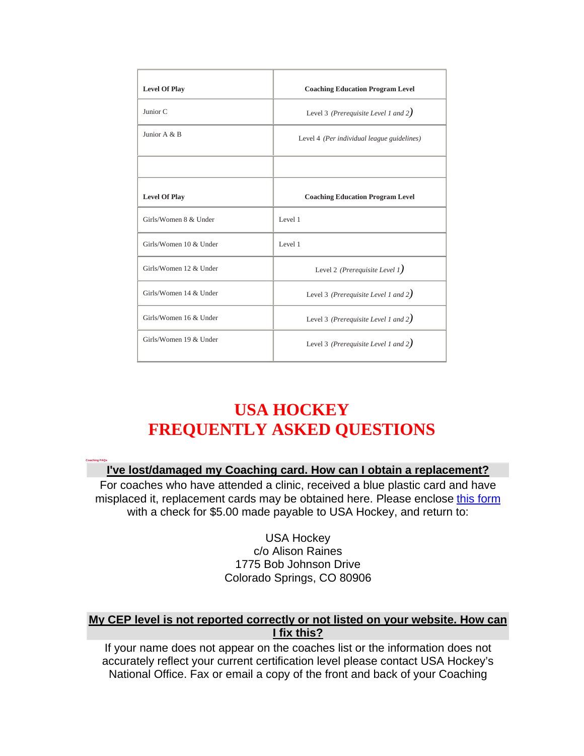| <b>Level Of Play</b>   | <b>Coaching Education Program Level</b>    |  |
|------------------------|--------------------------------------------|--|
| Junior <sub>C</sub>    | Level 3 (Prerequisite Level 1 and $2$ )    |  |
| Junior A $\&$ B        | Level 4 (Per individual league guidelines) |  |
|                        |                                            |  |
| <b>Level Of Play</b>   | <b>Coaching Education Program Level</b>    |  |
| Girls/Women 8 & Under  | Level 1                                    |  |
| Girls/Women 10 & Under | Level 1                                    |  |
| Girls/Women 12 & Under | Level 2 (Prerequisite Level 1)             |  |
| Girls/Women 14 & Under | Level 3 (Prerequisite Level 1 and $2$ )    |  |
| Girls/Women 16 & Under | Level 3 (Prerequisite Level 1 and $2$ )    |  |
| Girls/Women 19 & Under | Level 3 (Prerequisite Level 1 and $2$ )    |  |

# **USA HOCKEY FREQUENTLY ASKED QUESTIONS**

**Coaching FAQs**

## **I've lost/damaged my Coaching card. How can I obtain a replacement?**

For coaches who have attended a clinic, received a blue plastic card and have misplaced it, replacement cards may be obtained here. Please enclose this form with a check for \$5.00 made payable to USA Hockey, and return to:

> USA Hockey c/o Alison Raines 1775 Bob Johnson Drive Colorado Springs, CO 80906

#### **My CEP level is not reported correctly or not listed on your website. How can I fix this?**

If your name does not appear on the coaches list or the information does not accurately reflect your current certification level please contact USA Hockey's National Office. Fax or email a copy of the front and back of your Coaching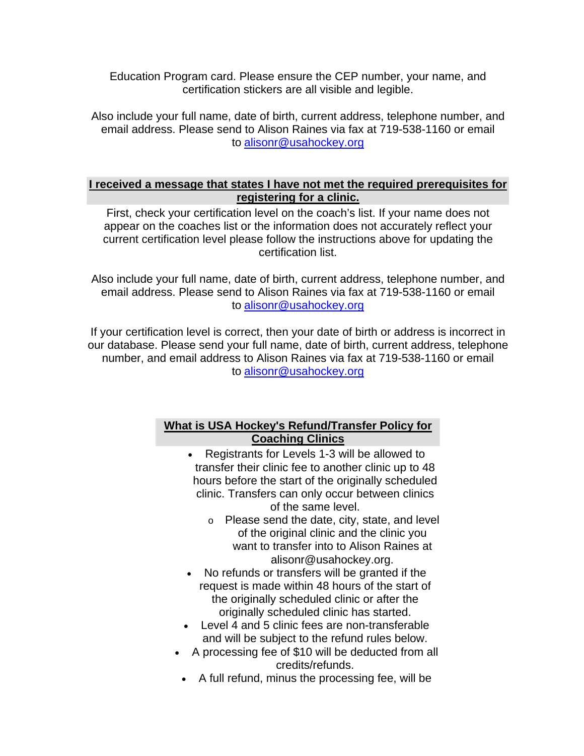Education Program card. Please ensure the CEP number, your name, and certification stickers are all visible and legible.

Also include your full name, date of birth, current address, telephone number, and email address. Please send to Alison Raines via fax at 719-538-1160 or email to alisonr@usahockey.org

#### **I received a message that states I have not met the required prerequisites for registering for a clinic.**

First, check your certification level on the coach's list. If your name does not appear on the coaches list or the information does not accurately reflect your current certification level please follow the instructions above for updating the certification list.

Also include your full name, date of birth, current address, telephone number, and email address. Please send to Alison Raines via fax at 719-538-1160 or email to alisonr@usahockey.org

If your certification level is correct, then your date of birth or address is incorrect in our database. Please send your full name, date of birth, current address, telephone number, and email address to Alison Raines via fax at 719-538-1160 or email to alisonr@usahockey.org

## **What is USA Hockey's Refund/Transfer Policy for Coaching Clinics**

- Registrants for Levels 1-3 will be allowed to transfer their clinic fee to another clinic up to 48 hours before the start of the originally scheduled clinic. Transfers can only occur between clinics of the same level.
	- o Please send the date, city, state, and level of the original clinic and the clinic you want to transfer into to Alison Raines at alisonr@usahockey.org.
- No refunds or transfers will be granted if the request is made within 48 hours of the start of the originally scheduled clinic or after the originally scheduled clinic has started.
- Level 4 and 5 clinic fees are non-transferable and will be subject to the refund rules below.
- A processing fee of \$10 will be deducted from all credits/refunds.
- A full refund, minus the processing fee, will be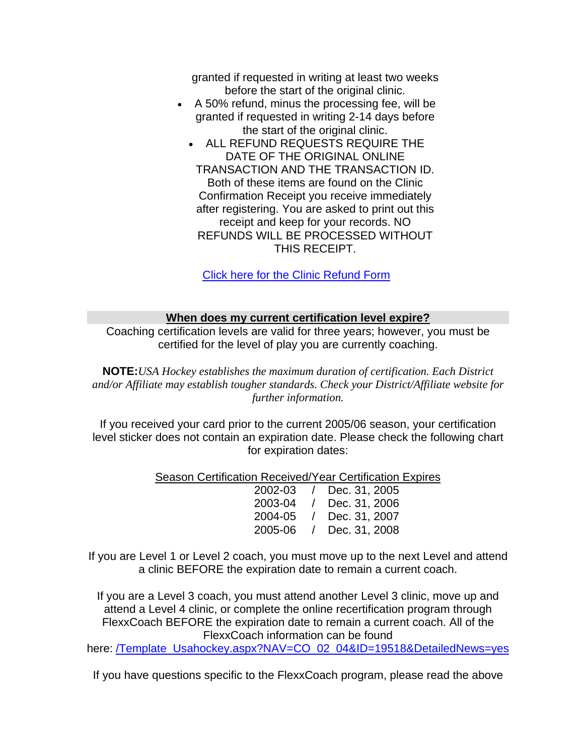granted if requested in writing at least two weeks before the start of the original clinic.

- A 50% refund, minus the processing fee, will be granted if requested in writing 2-14 days before the start of the original clinic.
	- ALL REFUND REQUESTS REQUIRE THE DATE OF THE ORIGINAL ONLINE TRANSACTION AND THE TRANSACTION ID. Both of these items are found on the Clinic Confirmation Receipt you receive immediately after registering. You are asked to print out this receipt and keep for your records. NO REFUNDS WILL BE PROCESSED WITHOUT THIS RECEIPT.

Click here for the Clinic Refund Form

#### **When does my current certification level expire?**

Coaching certification levels are valid for three years; however, you must be certified for the level of play you are currently coaching.

**NOTE:***USA Hockey establishes the maximum duration of certification. Each District and/or Affiliate may establish tougher standards. Check your District/Affiliate website for further information.*

If you received your card prior to the current 2005/06 season, your certification level sticker does not contain an expiration date. Please check the following chart for expiration dates:

Season Certification Received/Year Certification Expires

| 2002-03 / Dec. 31, 2005 |
|-------------------------|
| 2003-04 / Dec. 31, 2006 |
| 2004-05 / Dec. 31, 2007 |
| 2005-06 / Dec. 31, 2008 |
|                         |

If you are Level 1 or Level 2 coach, you must move up to the next Level and attend a clinic BEFORE the expiration date to remain a current coach.

If you are a Level 3 coach, you must attend another Level 3 clinic, move up and attend a Level 4 clinic, or complete the online recertification program through FlexxCoach BEFORE the expiration date to remain a current coach. All of the FlexxCoach information can be found

here: /Template\_Usahockey.aspx?NAV=CO\_02\_04&ID=19518&DetailedNews=yes

If you have questions specific to the FlexxCoach program, please read the above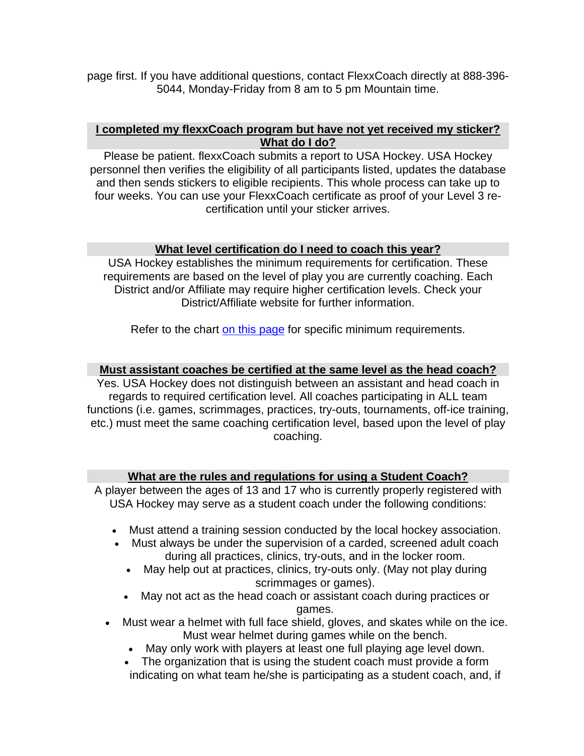page first. If you have additional questions, contact FlexxCoach directly at 888-396- 5044, Monday-Friday from 8 am to 5 pm Mountain time.

#### **I completed my flexxCoach program but have not yet received my sticker? What do I do?**

Please be patient. flexxCoach submits a report to USA Hockey. USA Hockey personnel then verifies the eligibility of all participants listed, updates the database and then sends stickers to eligible recipients. This whole process can take up to four weeks. You can use your FlexxCoach certificate as proof of your Level 3 recertification until your sticker arrives.

#### **What level certification do I need to coach this year?**

USA Hockey establishes the minimum requirements for certification. These requirements are based on the level of play you are currently coaching. Each District and/or Affiliate may require higher certification levels. Check your District/Affiliate website for further information.

Refer to the chart on this page for specific minimum requirements.

#### **Must assistant coaches be certified at the same level as the head coach?**

Yes. USA Hockey does not distinguish between an assistant and head coach in regards to required certification level. All coaches participating in ALL team functions (i.e. games, scrimmages, practices, try-outs, tournaments, off-ice training, etc.) must meet the same coaching certification level, based upon the level of play coaching.

#### **What are the rules and regulations for using a Student Coach?**

A player between the ages of 13 and 17 who is currently properly registered with USA Hockey may serve as a student coach under the following conditions:

- Must attend a training session conducted by the local hockey association.
- Must always be under the supervision of a carded, screened adult coach during all practices, clinics, try-outs, and in the locker room.
	- May help out at practices, clinics, try-outs only. (May not play during scrimmages or games).
	- May not act as the head coach or assistant coach during practices or games.
- Must wear a helmet with full face shield, gloves, and skates while on the ice. Must wear helmet during games while on the bench.
	- May only work with players at least one full playing age level down.
	- The organization that is using the student coach must provide a form indicating on what team he/she is participating as a student coach, and, if